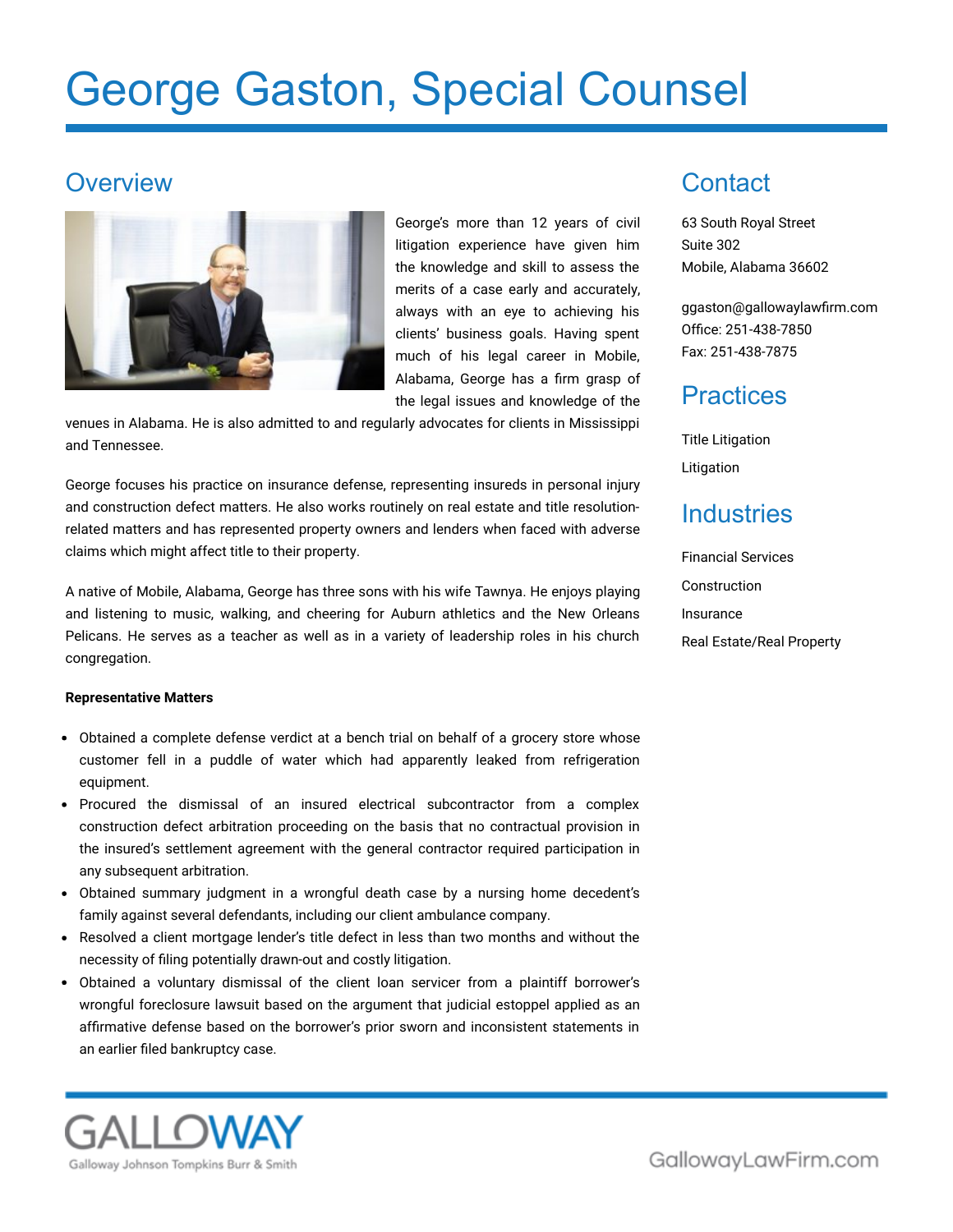# George Gaston, Special Counsel

#### **Overview**



George's more than 12 years of civil litigation experience have given him the knowledge and skill to assess the merits of a case early and accurately, always with an eye to achieving his clients' business goals. Having spent much of his legal career in Mobile, Alabama, George has a firm grasp of the legal issues and knowledge of the

venues in Alabama. He is also admitted to and regularly advocates for clients in Mississippi and Tennessee.

George focuses his practice on insurance defense, representing insureds in personal injury and construction defect matters. He also works routinely on real estate and title resolutionrelated matters and has represented property owners and lenders when faced with adverse claims which might affect title to their property.

A native of Mobile, Alabama, George has three sons with his wife Tawnya. He enjoys playing and listening to music, walking, and cheering for Auburn athletics and the New Orleans Pelicans. He serves as a teacher as well as in a variety of leadership roles in his church congregation.

#### **Representative Matters**

- Obtained a complete defense verdict at a bench trial on behalf of a grocery store whose customer fell in a puddle of water which had apparently leaked from refrigeration equipment.
- Procured the dismissal of an insured electrical subcontractor from a complex construction defect arbitration proceeding on the basis that no contractual provision in the insured's settlement agreement with the general contractor required participation in any subsequent arbitration.
- Obtained summary judgment in a wrongful death case by a nursing home decedent's family against several defendants, including our client ambulance company.
- Resolved a client mortgage lender's title defect in less than two months and without the necessity of filing potentially drawn-out and costly litigation.
- Obtained a voluntary dismissal of the client loan servicer from a plaintiff borrower's wrongful foreclosure lawsuit based on the argument that judicial estoppel applied as an affirmative defense based on the borrower's prior sworn and inconsistent statements in an earlier filed bankruptcy case.



63 South Royal Street Suite 302 Mobile, Alabama 36602

[ggaston@gallowaylawfirm.com](mailto:ggaston@gallowaylawfirm.com) Office: 251-438-7850 Fax: 251-438-7875

#### **Practices**

Title Litigation Litigation

### **Industries**

Financial Services Construction Insurance Real Estate/Real Property



GallowayLawFirm.com